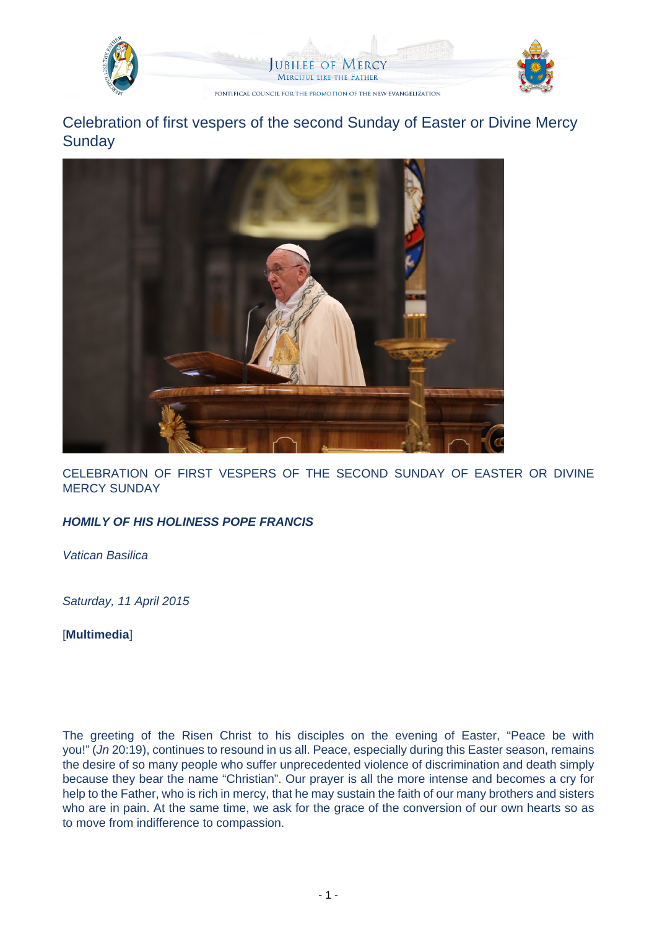

Celebration of first vespers of the second Sunday of Easter or Divine Mercy **Sunday** 



CELEBRATION OF FIRST VESPERS OF THE SECOND SUNDAY OF EASTER OR DIVINE MERCY SUNDAY

## **HOMILY OF HIS HOLINESS POPE FRANCIS**

Vatican Basilica

Saturday, 11 April 2015

[**Multimedia**]

The greeting of the Risen Christ to his disciples on the evening of Easter, "Peace be with you!" (Jn 20:19), continues to resound in us all. Peace, especially during this Easter season, remains the desire of so many people who suffer unprecedented violence of discrimination and death simply because they bear the name "Christian". Our prayer is all the more intense and becomes a cry for help to the Father, who is rich in mercy, that he may sustain the faith of our many brothers and sisters who are in pain. At the same time, we ask for the grace of the conversion of our own hearts so as to move from indifference to compassion.